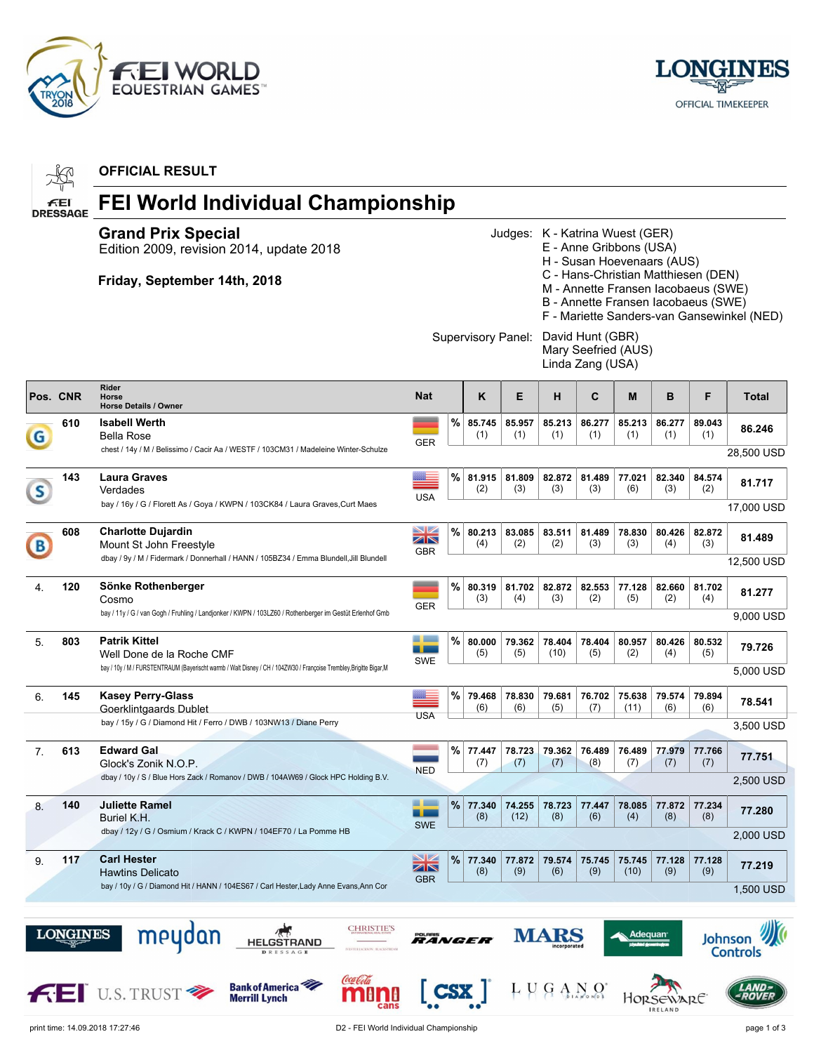



|          |                       | <b>OFFICIAL RESULT</b>                                                                                                                                                   |                                              |      |                    |               |                                                                                                                                                                                                                                                                                                                            |                      |                |               |                      |                                         |  |
|----------|-----------------------|--------------------------------------------------------------------------------------------------------------------------------------------------------------------------|----------------------------------------------|------|--------------------|---------------|----------------------------------------------------------------------------------------------------------------------------------------------------------------------------------------------------------------------------------------------------------------------------------------------------------------------------|----------------------|----------------|---------------|----------------------|-----------------------------------------|--|
|          | £€<br><b>DRESSAGE</b> | FEI World Individual Championship                                                                                                                                        |                                              |      |                    |               |                                                                                                                                                                                                                                                                                                                            |                      |                |               |                      |                                         |  |
|          |                       | <b>Grand Prix Special</b><br>Edition 2009, revision 2014, update 2018<br>Friday, September 14th, 2018                                                                    |                                              |      |                    |               | Judges: K - Katrina Wuest (GER)<br>E - Anne Gribbons (USA)<br>H - Susan Hoevenaars (AUS)<br>C - Hans-Christian Matthiesen (DEN)<br>M - Annette Fransen Iacobaeus (SWE)<br>B - Annette Fransen Iacobaeus (SWE)<br>F - Mariette Sanders-van Gansewinkel (NED)<br>David Hunt (GBR)<br>Mary Seefried (AUS)<br>Linda Zang (USA) |                      |                |               |                      |                                         |  |
|          |                       |                                                                                                                                                                          |                                              |      | Supervisory Panel: |               |                                                                                                                                                                                                                                                                                                                            |                      |                |               |                      |                                         |  |
| Pos. CNR |                       | Rider<br>Horse<br><b>Horse Details / Owner</b>                                                                                                                           | <b>Nat</b>                                   |      | ĸ                  | E             | н                                                                                                                                                                                                                                                                                                                          | C                    | M              | в             | F                    | <b>Total</b>                            |  |
| G        | 610                   | <b>Isabell Werth</b><br><b>Bella Rose</b><br>chest / 14y / M / Belissimo / Cacir Aa / WESTF / 103CM31 / Madeleine Winter-Schulze                                         | <b>GER</b>                                   | %    | 85.745<br>(1)      | 85.957<br>(1) | 85.213<br>(1)                                                                                                                                                                                                                                                                                                              | 86.277<br>(1)        | 85.213<br>(1)  | 86.277<br>(1) | 89.043<br>(1)        | 86.246<br>28,500 USD                    |  |
| S        | 143                   | Laura Graves<br>Verdades                                                                                                                                                 | ▆▅<br><b>USA</b>                             | ℅    | 81.915<br>(2)      | 81.809<br>(3) | 82.872<br>(3)                                                                                                                                                                                                                                                                                                              | 81.489<br>(3)        | 77.021<br>(6)  | 82.340<br>(3) | 84.574<br>(2)        | 81.717                                  |  |
|          |                       | bay / 16y / G / Florett As / Goya / KWPN / 103CK84 / Laura Graves, Curt Maes                                                                                             |                                              |      |                    |               |                                                                                                                                                                                                                                                                                                                            |                      |                |               |                      | 17,000 USD                              |  |
| (B)      | 608                   | <b>Charlotte Dujardin</b><br>Mount St John Freestyle<br>dbay / 9y / M / Fidermark / Donnerhall / HANN / 105BZ34 / Emma Blundell, Jill Blundell                           | $\overline{\phantom{a}}$<br>ZN<br><b>GBR</b> | %    | 80.213<br>(4)      | 83.085<br>(2) | 83.511<br>(2)                                                                                                                                                                                                                                                                                                              | 81.489<br>(3)        | 78.830<br>(3)  | 80.426<br>(4) | 82.872<br>(3)        | 81.489<br>12,500 USD                    |  |
| 4.       | 120                   | Sönke Rothenberger<br>Cosmo                                                                                                                                              |                                              | %    | 80.319<br>(3)      | 81.702<br>(4) | 82.872<br>(3)                                                                                                                                                                                                                                                                                                              | 82.553<br>(2)        | 77.128<br>(5)  | 82.660<br>(2) | 81.702<br>(4)        | 81.277                                  |  |
|          |                       | bay / 11y / G / van Gogh / Fruhling / Landjonker / KWPN / 103LZ60 / Rothenberger im Gestüt Erlenhof Gmb                                                                  | <b>GER</b>                                   |      |                    |               |                                                                                                                                                                                                                                                                                                                            |                      |                |               |                      | 9,000 USD                               |  |
| 5.       | 803                   | <b>Patrik Kittel</b><br>Well Done de la Roche CMF<br>bay / 10y / M / FURSTENTRAUM (Bayerischt warmb / Walt Disney / CH / 104ZW30 / Françoise Trembley, Brigitte Bigar, M | المستقل المنا<br>a sa<br>SWE                 | $\%$ | 80.000<br>(5)      | 79.362<br>(5) | 78.404<br>(10)                                                                                                                                                                                                                                                                                                             | 78.404<br>(5)        | 80.957<br>(2)  | 80.426<br>(4) | 80.532<br>(5)        | 79.726<br>5,000 USD                     |  |
| 6.       | 145                   | <b>Kasey Perry-Glass</b><br>Goerklintgaards Dublet                                                                                                                       | <b>USA</b>                                   | %    | 79.468<br>(6)      | 78.830<br>(6) | 79.681<br>(5)                                                                                                                                                                                                                                                                                                              | 76.702<br>(7)        | 75.638<br>(11) | 79.574<br>(6) | 79.894<br>(6)        | 78.541                                  |  |
|          |                       | bay / 15y / G / Diamond Hit / Ferro / DWB / 103NW13 / Diane Perry                                                                                                        |                                              |      |                    |               |                                                                                                                                                                                                                                                                                                                            |                      |                |               |                      | 3,500 USD                               |  |
| 7.       | 613                   | Edward Gal<br>Glock's Zonik N.O.P.<br>dbay / 10y / S / Blue Hors Zack / Romanov / DWB / 104AW69 / Glock HPC Holding B.V.                                                 | <b>NED</b>                                   | %    | 77.447<br>(7)      | 78.723<br>(7) | 79.362<br>(7)                                                                                                                                                                                                                                                                                                              | 76.489 76.489<br>(8) | (7)            | (7)           | 77.979 77.766<br>(7) | 77.751<br>2,500 USD                     |  |
|          | 140                   | <b>Juliette Ramel</b>                                                                                                                                                    |                                              | %    | 77.340             | 74.255        | 78.723                                                                                                                                                                                                                                                                                                                     | 77.447               | 78.085         | 77.872        |                      |                                         |  |
| 8.       |                       | Buriel K.H.<br>dbay / 12y / G / Osmium / Krack C / KWPN / 104EF70 / La Pomme HB                                                                                          | - 11<br><b>SWE</b>                           |      | (8)                | (12)          | (8)                                                                                                                                                                                                                                                                                                                        | (6)                  | (4)            | (8)           | 77.234<br>(8)        | 77.280<br>2,000 USD                     |  |
| 9.       | 117                   | <b>Carl Hester</b><br><b>Hawtins Delicato</b><br>bay / 10y / G / Diamond Hit / HANN / 104ES67 / Carl Hester, Lady Anne Evans, Ann Cor                                    | NZ<br>ZN<br><b>GBR</b>                       | %    | 77.340<br>(8)      | 77.872<br>(9) | 79.574<br>(6)                                                                                                                                                                                                                                                                                                              | 75.745<br>(9)        | 75.745<br>(10) | 77.128<br>(9) | 77.128<br>(9)        | 77.219<br>1,500 USD                     |  |
|          | <b>LONGINES</b>       | meydan<br><b>CHRISTIE'S</b><br>HELGSTRAND<br><b>STER DICKSON HUACKSTREA</b><br><b>Bank of America</b><br><b>FEI U.S. TRUST ?</b><br><b>Merrill Lynch</b>                 | RANGE<br><b>CSX</b>                          |      |                    |               | $L V G A N Q^*$                                                                                                                                                                                                                                                                                                            |                      |                | EWARE         | Johnson              | <b>Controls</b><br>AND:<br><b>ROVER</b> |  |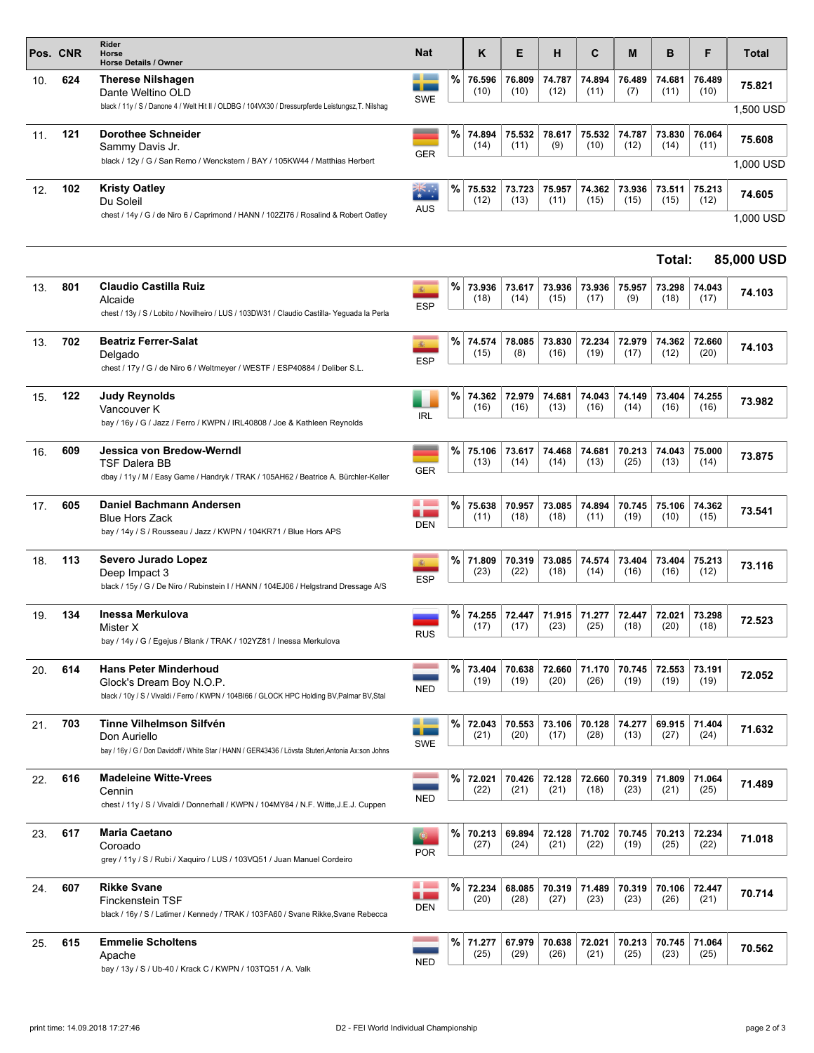| a po<br>%<br>76.596<br>76.809<br>74.787<br>74.894<br>76.489<br>74.681<br>76.489<br>624<br><b>Therese Nilshagen</b><br>10.<br>75.821<br>-r<br>(10)<br>(10)<br>(12)<br>(11)<br>(10)<br>(7)<br>(11)<br>Dante Weltino OLD<br><b>SWE</b><br>black / 11y / S / Danone 4 / Welt Hit II / OLDBG / 104VX30 / Dressurpferde Leistungsz, T. Nilshag<br>1,500 USD<br>%<br>121<br><b>Dorothee Schneider</b><br>74.894<br>75.532<br>78.617<br>75.532<br>74.787<br>73.830<br>76.064<br>11.<br>75.608<br>(14)<br>(9)<br>(10)<br>(12)<br>(11)<br>(14)<br>(11)<br>Sammy Davis Jr.<br><b>GER</b><br>black / 12y / G / San Remo / Wenckstern / BAY / 105KW44 / Matthias Herbert<br>1,000 USD<br>%<br>102<br><b>Kristy Oatley</b><br>▒<br>75.532<br>73.723<br>75.957<br>74.362<br>73.936<br>73.511<br>75.213<br>12.<br>74.605<br>(12)<br>(13)<br>(15)<br>(15)<br>(12)<br>(11)<br>(15)<br>Du Soleil<br>AUS<br>chest / 14y / G / de Niro 6 / Caprimond / HANN / 102ZI76 / Rosalind & Robert Oatley<br>1,000 USD<br>85,000 USD<br>Total:<br><b>Claudio Castilla Ruiz</b><br>%<br>801<br>73.936<br>73.617<br>73.936<br>73.936<br>73.298<br>74.043<br>75.957<br>13.<br>编。<br>74.103<br>(18)<br>(14)<br>(15)<br>(17)<br>(9)<br>(18)<br>(17)<br>Alcaide<br><b>ESP</b><br>chest / 13y / S / Lobito / Novilheiro / LUS / 103DW31 / Claudio Castilla- Yeguada la Perla<br>702<br><b>Beatriz Ferrer-Salat</b><br>%<br>72.234<br>74.574<br>78.085<br>73.830<br>72.979<br>74.362<br>72.660<br>13.<br>瓣<br>74.103<br>(19)<br>(20)<br>(15)<br>(8)<br>(16)<br>(17)<br>(12)<br>Delgado<br><b>ESP</b><br>chest / 17y / G / de Niro 6 / Weltmeyer / WESTF / ESP40884 / Deliber S.L.<br>%<br>122<br>Judy Reynolds<br>74.362<br>72.979<br>74.681<br>74.043<br>74.149<br>73.404<br>74.255<br>15.<br>73.982<br>(13)<br>(16)<br>(14)<br>(16)<br>(16)<br>(16)<br>(16)<br>Vancouver K<br><b>IRL</b><br>bay / 16y / G / Jazz / Ferro / KWPN / IRL40808 / Joe & Kathleen Reynolds<br>%<br>Jessica von Bredow-Werndl<br>609<br>75.106<br>73.617<br>74.468<br>74.681<br>70.213<br>74.043<br>75.000<br>16.<br>73.875<br>(13)<br>(14)<br>(14)<br>(13)<br>(25)<br>(13)<br>(14)<br><b>TSF Dalera BB</b><br><b>GER</b><br>dbay / 11y / M / Easy Game / Handryk / TRAK / 105AH62 / Beatrice A. Bürchler-Keller<br><b>College</b><br>$\%$<br>Daniel Bachmann Andersen<br>605<br>75.638<br>75.106<br>70.957<br>73.085<br>74.894<br>70.745<br>74.362<br>17.<br>73.541<br><b>College</b><br>(18)<br>(11)<br>(18)<br>(11)<br>(19)<br>(10)<br>(15)<br><b>Blue Hors Zack</b><br><b>DEN</b><br>bay / 14y / S / Rousseau / Jazz / KWPN / 104KR71 / Blue Hors APS<br>%<br>113<br>Severo Jurado Lopez<br>71.809<br>70.319<br>73.085<br>74.574<br>73.404<br>73.404<br>75.213<br>18.<br>編<br>73.116<br>(23)<br>(22)<br>(18)<br>(14)<br>(16)<br>(16)<br>(12)<br>Deep Impact 3<br><b>ESP</b><br>black / 15y / G / De Niro / Rubinstein I / HANN / 104EJ06 / Helgstrand Dressage A/S<br>%<br>134<br>Inessa Merkulova<br>74.255<br>72.447<br>71.915<br>71.277<br>72.447<br>72.021<br>73.298<br>19.<br>72.523<br>(23)<br>(25)<br>(18)<br>(20)<br>(18)<br>(17)<br>(17)<br>Mister X<br><b>RUS</b><br>bay / 14y / G / Egejus / Blank / TRAK / 102YZ81 / Inessa Merkulova<br>%<br>614<br><b>Hans Peter Minderhoud</b><br>70.638<br>72.660<br>73.404<br>71.170<br>70.745<br>72.553<br>73.191<br>20.<br>72.052<br>(19)<br>(19)<br>(20)<br>(26)<br>(19)<br>(19)<br>(19)<br>Glock's Dream Boy N.O.P.<br><b>NED</b><br>black / 10y / S / Vivaldi / Ferro / KWPN / 104BI66 / GLOCK HPC Holding BV, Palmar BV, Stal<br>a ba<br>%<br>Tinne Vilhelmson Silfvén<br>703<br>72.043<br>70.553<br>73.106<br>70.128<br>74.277<br>69.915<br>71.404<br>21.<br>71.632<br><b>The Company</b><br>(20)<br>(28)<br>(21)<br>(17)<br>(13)<br>(27)<br>(24)<br>Don Auriello<br><b>SWE</b><br>bay / 16y / G / Don Davidoff / White Star / HANN / GER43436 / Lövsta Stuteri, Antonia Ax:son Johns<br>616<br>%<br><b>Madeleine Witte-Vrees</b><br>72.021<br>70.426<br>72.128<br>72.660<br>70.319<br>71.809<br>71.064<br>22.<br>71.489<br>(21)<br>(23)<br>(25)<br>(22)<br>(21)<br>(18)<br>(21)<br>Cennin<br><b>NED</b><br>chest / 11y / S / Vivaldi / Donnerhall / KWPN / 104MY84 / N.F. Witte, J.E.J. Cuppen<br>%<br><b>Maria Caetano</b><br>617<br>70.213<br>69.894<br>72.128<br>71.702<br>70.745<br>70.213<br>72.234<br>23.<br>71.018<br>(24)<br>(21)<br>(19)<br>(25)<br>(27)<br>(22)<br>(22)<br>Coroado<br><b>POR</b><br>grey / 11y / S / Rubi / Xaquiro / LUS / 103VQ51 / Juan Manuel Cordeiro<br><b>Expertise</b><br>%<br><b>Rikke Svane</b><br>607<br>72.234<br>68.085<br>70.319<br>71.489<br>70.319<br>70.106<br>72.447<br>24.<br>70.714<br><b>College</b><br>(28)<br>(20)<br>(27)<br>(23)<br>(23)<br>(26)<br>(21)<br><b>Finckenstein TSF</b><br>DEN<br>black / 16y / S / Latimer / Kennedy / TRAK / 103FA60 / Svane Rikke, Svane Rebecca<br><b>Emmelie Scholtens</b><br>%<br>615<br>71.277<br>67.979<br>70.638<br>72.021<br>70.213<br>70.745<br>71.064<br>25.<br>70.562<br>(29)<br>(26)<br>(25)<br>(23)<br>(25)<br>(25)<br>(21)<br>Apache<br><b>NED</b><br>bay / 13y / S / Ub-40 / Krack C / KWPN / 103TQ51 / A. Valk | Pos. CNR | Rider<br>Horse<br><b>Horse Details / Owner</b> | <b>Nat</b> | Κ | E | н | C | M | в | F | Total |
|-------------------------------------------------------------------------------------------------------------------------------------------------------------------------------------------------------------------------------------------------------------------------------------------------------------------------------------------------------------------------------------------------------------------------------------------------------------------------------------------------------------------------------------------------------------------------------------------------------------------------------------------------------------------------------------------------------------------------------------------------------------------------------------------------------------------------------------------------------------------------------------------------------------------------------------------------------------------------------------------------------------------------------------------------------------------------------------------------------------------------------------------------------------------------------------------------------------------------------------------------------------------------------------------------------------------------------------------------------------------------------------------------------------------------------------------------------------------------------------------------------------------------------------------------------------------------------------------------------------------------------------------------------------------------------------------------------------------------------------------------------------------------------------------------------------------------------------------------------------------------------------------------------------------------------------------------------------------------------------------------------------------------------------------------------------------------------------------------------------------------------------------------------------------------------------------------------------------------------------------------------------------------------------------------------------------------------------------------------------------------------------------------------------------------------------------------------------------------------------------------------------------------------------------------------------------------------------------------------------------------------------------------------------------------------------------------------------------------------------------------------------------------------------------------------------------------------------------------------------------------------------------------------------------------------------------------------------------------------------------------------------------------------------------------------------------------------------------------------------------------------------------------------------------------------------------------------------------------------------------------------------------------------------------------------------------------------------------------------------------------------------------------------------------------------------------------------------------------------------------------------------------------------------------------------------------------------------------------------------------------------------------------------------------------------------------------------------------------------------------------------------------------------------------------------------------------------------------------------------------------------------------------------------------------------------------------------------------------------------------------------------------------------------------------------------------------------------------------------------------------------------------------------------------------------------------------------------------------------------------------------------------------------------------------------------------------------------------------------------------------------------------------------------------------------------------------------------------------------------------------------------------------------------------------------------------------------------------------------------------------------------------------------------------------------------------------------------------------------------------------------------------------------------------------------------------------------------------------------------------------------------------------------------------------------------------------------------------------------------------------------------------------------------------------------------------------------------------------------------------|----------|------------------------------------------------|------------|---|---|---|---|---|---|---|-------|
|                                                                                                                                                                                                                                                                                                                                                                                                                                                                                                                                                                                                                                                                                                                                                                                                                                                                                                                                                                                                                                                                                                                                                                                                                                                                                                                                                                                                                                                                                                                                                                                                                                                                                                                                                                                                                                                                                                                                                                                                                                                                                                                                                                                                                                                                                                                                                                                                                                                                                                                                                                                                                                                                                                                                                                                                                                                                                                                                                                                                                                                                                                                                                                                                                                                                                                                                                                                                                                                                                                                                                                                                                                                                                                                                                                                                                                                                                                                                                                                                                                                                                                                                                                                                                                                                                                                                                                                                                                                                                                                                                                                                                                                                                                                                                                                                                                                                                                                                                                                                                                                                                                                   |          |                                                |            |   |   |   |   |   |   |   |       |
|                                                                                                                                                                                                                                                                                                                                                                                                                                                                                                                                                                                                                                                                                                                                                                                                                                                                                                                                                                                                                                                                                                                                                                                                                                                                                                                                                                                                                                                                                                                                                                                                                                                                                                                                                                                                                                                                                                                                                                                                                                                                                                                                                                                                                                                                                                                                                                                                                                                                                                                                                                                                                                                                                                                                                                                                                                                                                                                                                                                                                                                                                                                                                                                                                                                                                                                                                                                                                                                                                                                                                                                                                                                                                                                                                                                                                                                                                                                                                                                                                                                                                                                                                                                                                                                                                                                                                                                                                                                                                                                                                                                                                                                                                                                                                                                                                                                                                                                                                                                                                                                                                                                   |          |                                                |            |   |   |   |   |   |   |   |       |
|                                                                                                                                                                                                                                                                                                                                                                                                                                                                                                                                                                                                                                                                                                                                                                                                                                                                                                                                                                                                                                                                                                                                                                                                                                                                                                                                                                                                                                                                                                                                                                                                                                                                                                                                                                                                                                                                                                                                                                                                                                                                                                                                                                                                                                                                                                                                                                                                                                                                                                                                                                                                                                                                                                                                                                                                                                                                                                                                                                                                                                                                                                                                                                                                                                                                                                                                                                                                                                                                                                                                                                                                                                                                                                                                                                                                                                                                                                                                                                                                                                                                                                                                                                                                                                                                                                                                                                                                                                                                                                                                                                                                                                                                                                                                                                                                                                                                                                                                                                                                                                                                                                                   |          |                                                |            |   |   |   |   |   |   |   |       |
|                                                                                                                                                                                                                                                                                                                                                                                                                                                                                                                                                                                                                                                                                                                                                                                                                                                                                                                                                                                                                                                                                                                                                                                                                                                                                                                                                                                                                                                                                                                                                                                                                                                                                                                                                                                                                                                                                                                                                                                                                                                                                                                                                                                                                                                                                                                                                                                                                                                                                                                                                                                                                                                                                                                                                                                                                                                                                                                                                                                                                                                                                                                                                                                                                                                                                                                                                                                                                                                                                                                                                                                                                                                                                                                                                                                                                                                                                                                                                                                                                                                                                                                                                                                                                                                                                                                                                                                                                                                                                                                                                                                                                                                                                                                                                                                                                                                                                                                                                                                                                                                                                                                   |          |                                                |            |   |   |   |   |   |   |   |       |
|                                                                                                                                                                                                                                                                                                                                                                                                                                                                                                                                                                                                                                                                                                                                                                                                                                                                                                                                                                                                                                                                                                                                                                                                                                                                                                                                                                                                                                                                                                                                                                                                                                                                                                                                                                                                                                                                                                                                                                                                                                                                                                                                                                                                                                                                                                                                                                                                                                                                                                                                                                                                                                                                                                                                                                                                                                                                                                                                                                                                                                                                                                                                                                                                                                                                                                                                                                                                                                                                                                                                                                                                                                                                                                                                                                                                                                                                                                                                                                                                                                                                                                                                                                                                                                                                                                                                                                                                                                                                                                                                                                                                                                                                                                                                                                                                                                                                                                                                                                                                                                                                                                                   |          |                                                |            |   |   |   |   |   |   |   |       |
|                                                                                                                                                                                                                                                                                                                                                                                                                                                                                                                                                                                                                                                                                                                                                                                                                                                                                                                                                                                                                                                                                                                                                                                                                                                                                                                                                                                                                                                                                                                                                                                                                                                                                                                                                                                                                                                                                                                                                                                                                                                                                                                                                                                                                                                                                                                                                                                                                                                                                                                                                                                                                                                                                                                                                                                                                                                                                                                                                                                                                                                                                                                                                                                                                                                                                                                                                                                                                                                                                                                                                                                                                                                                                                                                                                                                                                                                                                                                                                                                                                                                                                                                                                                                                                                                                                                                                                                                                                                                                                                                                                                                                                                                                                                                                                                                                                                                                                                                                                                                                                                                                                                   |          |                                                |            |   |   |   |   |   |   |   |       |
|                                                                                                                                                                                                                                                                                                                                                                                                                                                                                                                                                                                                                                                                                                                                                                                                                                                                                                                                                                                                                                                                                                                                                                                                                                                                                                                                                                                                                                                                                                                                                                                                                                                                                                                                                                                                                                                                                                                                                                                                                                                                                                                                                                                                                                                                                                                                                                                                                                                                                                                                                                                                                                                                                                                                                                                                                                                                                                                                                                                                                                                                                                                                                                                                                                                                                                                                                                                                                                                                                                                                                                                                                                                                                                                                                                                                                                                                                                                                                                                                                                                                                                                                                                                                                                                                                                                                                                                                                                                                                                                                                                                                                                                                                                                                                                                                                                                                                                                                                                                                                                                                                                                   |          |                                                |            |   |   |   |   |   |   |   |       |
|                                                                                                                                                                                                                                                                                                                                                                                                                                                                                                                                                                                                                                                                                                                                                                                                                                                                                                                                                                                                                                                                                                                                                                                                                                                                                                                                                                                                                                                                                                                                                                                                                                                                                                                                                                                                                                                                                                                                                                                                                                                                                                                                                                                                                                                                                                                                                                                                                                                                                                                                                                                                                                                                                                                                                                                                                                                                                                                                                                                                                                                                                                                                                                                                                                                                                                                                                                                                                                                                                                                                                                                                                                                                                                                                                                                                                                                                                                                                                                                                                                                                                                                                                                                                                                                                                                                                                                                                                                                                                                                                                                                                                                                                                                                                                                                                                                                                                                                                                                                                                                                                                                                   |          |                                                |            |   |   |   |   |   |   |   |       |
|                                                                                                                                                                                                                                                                                                                                                                                                                                                                                                                                                                                                                                                                                                                                                                                                                                                                                                                                                                                                                                                                                                                                                                                                                                                                                                                                                                                                                                                                                                                                                                                                                                                                                                                                                                                                                                                                                                                                                                                                                                                                                                                                                                                                                                                                                                                                                                                                                                                                                                                                                                                                                                                                                                                                                                                                                                                                                                                                                                                                                                                                                                                                                                                                                                                                                                                                                                                                                                                                                                                                                                                                                                                                                                                                                                                                                                                                                                                                                                                                                                                                                                                                                                                                                                                                                                                                                                                                                                                                                                                                                                                                                                                                                                                                                                                                                                                                                                                                                                                                                                                                                                                   |          |                                                |            |   |   |   |   |   |   |   |       |
|                                                                                                                                                                                                                                                                                                                                                                                                                                                                                                                                                                                                                                                                                                                                                                                                                                                                                                                                                                                                                                                                                                                                                                                                                                                                                                                                                                                                                                                                                                                                                                                                                                                                                                                                                                                                                                                                                                                                                                                                                                                                                                                                                                                                                                                                                                                                                                                                                                                                                                                                                                                                                                                                                                                                                                                                                                                                                                                                                                                                                                                                                                                                                                                                                                                                                                                                                                                                                                                                                                                                                                                                                                                                                                                                                                                                                                                                                                                                                                                                                                                                                                                                                                                                                                                                                                                                                                                                                                                                                                                                                                                                                                                                                                                                                                                                                                                                                                                                                                                                                                                                                                                   |          |                                                |            |   |   |   |   |   |   |   |       |
|                                                                                                                                                                                                                                                                                                                                                                                                                                                                                                                                                                                                                                                                                                                                                                                                                                                                                                                                                                                                                                                                                                                                                                                                                                                                                                                                                                                                                                                                                                                                                                                                                                                                                                                                                                                                                                                                                                                                                                                                                                                                                                                                                                                                                                                                                                                                                                                                                                                                                                                                                                                                                                                                                                                                                                                                                                                                                                                                                                                                                                                                                                                                                                                                                                                                                                                                                                                                                                                                                                                                                                                                                                                                                                                                                                                                                                                                                                                                                                                                                                                                                                                                                                                                                                                                                                                                                                                                                                                                                                                                                                                                                                                                                                                                                                                                                                                                                                                                                                                                                                                                                                                   |          |                                                |            |   |   |   |   |   |   |   |       |
|                                                                                                                                                                                                                                                                                                                                                                                                                                                                                                                                                                                                                                                                                                                                                                                                                                                                                                                                                                                                                                                                                                                                                                                                                                                                                                                                                                                                                                                                                                                                                                                                                                                                                                                                                                                                                                                                                                                                                                                                                                                                                                                                                                                                                                                                                                                                                                                                                                                                                                                                                                                                                                                                                                                                                                                                                                                                                                                                                                                                                                                                                                                                                                                                                                                                                                                                                                                                                                                                                                                                                                                                                                                                                                                                                                                                                                                                                                                                                                                                                                                                                                                                                                                                                                                                                                                                                                                                                                                                                                                                                                                                                                                                                                                                                                                                                                                                                                                                                                                                                                                                                                                   |          |                                                |            |   |   |   |   |   |   |   |       |
|                                                                                                                                                                                                                                                                                                                                                                                                                                                                                                                                                                                                                                                                                                                                                                                                                                                                                                                                                                                                                                                                                                                                                                                                                                                                                                                                                                                                                                                                                                                                                                                                                                                                                                                                                                                                                                                                                                                                                                                                                                                                                                                                                                                                                                                                                                                                                                                                                                                                                                                                                                                                                                                                                                                                                                                                                                                                                                                                                                                                                                                                                                                                                                                                                                                                                                                                                                                                                                                                                                                                                                                                                                                                                                                                                                                                                                                                                                                                                                                                                                                                                                                                                                                                                                                                                                                                                                                                                                                                                                                                                                                                                                                                                                                                                                                                                                                                                                                                                                                                                                                                                                                   |          |                                                |            |   |   |   |   |   |   |   |       |
|                                                                                                                                                                                                                                                                                                                                                                                                                                                                                                                                                                                                                                                                                                                                                                                                                                                                                                                                                                                                                                                                                                                                                                                                                                                                                                                                                                                                                                                                                                                                                                                                                                                                                                                                                                                                                                                                                                                                                                                                                                                                                                                                                                                                                                                                                                                                                                                                                                                                                                                                                                                                                                                                                                                                                                                                                                                                                                                                                                                                                                                                                                                                                                                                                                                                                                                                                                                                                                                                                                                                                                                                                                                                                                                                                                                                                                                                                                                                                                                                                                                                                                                                                                                                                                                                                                                                                                                                                                                                                                                                                                                                                                                                                                                                                                                                                                                                                                                                                                                                                                                                                                                   |          |                                                |            |   |   |   |   |   |   |   |       |
|                                                                                                                                                                                                                                                                                                                                                                                                                                                                                                                                                                                                                                                                                                                                                                                                                                                                                                                                                                                                                                                                                                                                                                                                                                                                                                                                                                                                                                                                                                                                                                                                                                                                                                                                                                                                                                                                                                                                                                                                                                                                                                                                                                                                                                                                                                                                                                                                                                                                                                                                                                                                                                                                                                                                                                                                                                                                                                                                                                                                                                                                                                                                                                                                                                                                                                                                                                                                                                                                                                                                                                                                                                                                                                                                                                                                                                                                                                                                                                                                                                                                                                                                                                                                                                                                                                                                                                                                                                                                                                                                                                                                                                                                                                                                                                                                                                                                                                                                                                                                                                                                                                                   |          |                                                |            |   |   |   |   |   |   |   |       |
|                                                                                                                                                                                                                                                                                                                                                                                                                                                                                                                                                                                                                                                                                                                                                                                                                                                                                                                                                                                                                                                                                                                                                                                                                                                                                                                                                                                                                                                                                                                                                                                                                                                                                                                                                                                                                                                                                                                                                                                                                                                                                                                                                                                                                                                                                                                                                                                                                                                                                                                                                                                                                                                                                                                                                                                                                                                                                                                                                                                                                                                                                                                                                                                                                                                                                                                                                                                                                                                                                                                                                                                                                                                                                                                                                                                                                                                                                                                                                                                                                                                                                                                                                                                                                                                                                                                                                                                                                                                                                                                                                                                                                                                                                                                                                                                                                                                                                                                                                                                                                                                                                                                   |          |                                                |            |   |   |   |   |   |   |   |       |
|                                                                                                                                                                                                                                                                                                                                                                                                                                                                                                                                                                                                                                                                                                                                                                                                                                                                                                                                                                                                                                                                                                                                                                                                                                                                                                                                                                                                                                                                                                                                                                                                                                                                                                                                                                                                                                                                                                                                                                                                                                                                                                                                                                                                                                                                                                                                                                                                                                                                                                                                                                                                                                                                                                                                                                                                                                                                                                                                                                                                                                                                                                                                                                                                                                                                                                                                                                                                                                                                                                                                                                                                                                                                                                                                                                                                                                                                                                                                                                                                                                                                                                                                                                                                                                                                                                                                                                                                                                                                                                                                                                                                                                                                                                                                                                                                                                                                                                                                                                                                                                                                                                                   |          |                                                |            |   |   |   |   |   |   |   |       |
|                                                                                                                                                                                                                                                                                                                                                                                                                                                                                                                                                                                                                                                                                                                                                                                                                                                                                                                                                                                                                                                                                                                                                                                                                                                                                                                                                                                                                                                                                                                                                                                                                                                                                                                                                                                                                                                                                                                                                                                                                                                                                                                                                                                                                                                                                                                                                                                                                                                                                                                                                                                                                                                                                                                                                                                                                                                                                                                                                                                                                                                                                                                                                                                                                                                                                                                                                                                                                                                                                                                                                                                                                                                                                                                                                                                                                                                                                                                                                                                                                                                                                                                                                                                                                                                                                                                                                                                                                                                                                                                                                                                                                                                                                                                                                                                                                                                                                                                                                                                                                                                                                                                   |          |                                                |            |   |   |   |   |   |   |   |       |
|                                                                                                                                                                                                                                                                                                                                                                                                                                                                                                                                                                                                                                                                                                                                                                                                                                                                                                                                                                                                                                                                                                                                                                                                                                                                                                                                                                                                                                                                                                                                                                                                                                                                                                                                                                                                                                                                                                                                                                                                                                                                                                                                                                                                                                                                                                                                                                                                                                                                                                                                                                                                                                                                                                                                                                                                                                                                                                                                                                                                                                                                                                                                                                                                                                                                                                                                                                                                                                                                                                                                                                                                                                                                                                                                                                                                                                                                                                                                                                                                                                                                                                                                                                                                                                                                                                                                                                                                                                                                                                                                                                                                                                                                                                                                                                                                                                                                                                                                                                                                                                                                                                                   |          |                                                |            |   |   |   |   |   |   |   |       |
|                                                                                                                                                                                                                                                                                                                                                                                                                                                                                                                                                                                                                                                                                                                                                                                                                                                                                                                                                                                                                                                                                                                                                                                                                                                                                                                                                                                                                                                                                                                                                                                                                                                                                                                                                                                                                                                                                                                                                                                                                                                                                                                                                                                                                                                                                                                                                                                                                                                                                                                                                                                                                                                                                                                                                                                                                                                                                                                                                                                                                                                                                                                                                                                                                                                                                                                                                                                                                                                                                                                                                                                                                                                                                                                                                                                                                                                                                                                                                                                                                                                                                                                                                                                                                                                                                                                                                                                                                                                                                                                                                                                                                                                                                                                                                                                                                                                                                                                                                                                                                                                                                                                   |          |                                                |            |   |   |   |   |   |   |   |       |
|                                                                                                                                                                                                                                                                                                                                                                                                                                                                                                                                                                                                                                                                                                                                                                                                                                                                                                                                                                                                                                                                                                                                                                                                                                                                                                                                                                                                                                                                                                                                                                                                                                                                                                                                                                                                                                                                                                                                                                                                                                                                                                                                                                                                                                                                                                                                                                                                                                                                                                                                                                                                                                                                                                                                                                                                                                                                                                                                                                                                                                                                                                                                                                                                                                                                                                                                                                                                                                                                                                                                                                                                                                                                                                                                                                                                                                                                                                                                                                                                                                                                                                                                                                                                                                                                                                                                                                                                                                                                                                                                                                                                                                                                                                                                                                                                                                                                                                                                                                                                                                                                                                                   |          |                                                |            |   |   |   |   |   |   |   |       |
|                                                                                                                                                                                                                                                                                                                                                                                                                                                                                                                                                                                                                                                                                                                                                                                                                                                                                                                                                                                                                                                                                                                                                                                                                                                                                                                                                                                                                                                                                                                                                                                                                                                                                                                                                                                                                                                                                                                                                                                                                                                                                                                                                                                                                                                                                                                                                                                                                                                                                                                                                                                                                                                                                                                                                                                                                                                                                                                                                                                                                                                                                                                                                                                                                                                                                                                                                                                                                                                                                                                                                                                                                                                                                                                                                                                                                                                                                                                                                                                                                                                                                                                                                                                                                                                                                                                                                                                                                                                                                                                                                                                                                                                                                                                                                                                                                                                                                                                                                                                                                                                                                                                   |          |                                                |            |   |   |   |   |   |   |   |       |
|                                                                                                                                                                                                                                                                                                                                                                                                                                                                                                                                                                                                                                                                                                                                                                                                                                                                                                                                                                                                                                                                                                                                                                                                                                                                                                                                                                                                                                                                                                                                                                                                                                                                                                                                                                                                                                                                                                                                                                                                                                                                                                                                                                                                                                                                                                                                                                                                                                                                                                                                                                                                                                                                                                                                                                                                                                                                                                                                                                                                                                                                                                                                                                                                                                                                                                                                                                                                                                                                                                                                                                                                                                                                                                                                                                                                                                                                                                                                                                                                                                                                                                                                                                                                                                                                                                                                                                                                                                                                                                                                                                                                                                                                                                                                                                                                                                                                                                                                                                                                                                                                                                                   |          |                                                |            |   |   |   |   |   |   |   |       |
|                                                                                                                                                                                                                                                                                                                                                                                                                                                                                                                                                                                                                                                                                                                                                                                                                                                                                                                                                                                                                                                                                                                                                                                                                                                                                                                                                                                                                                                                                                                                                                                                                                                                                                                                                                                                                                                                                                                                                                                                                                                                                                                                                                                                                                                                                                                                                                                                                                                                                                                                                                                                                                                                                                                                                                                                                                                                                                                                                                                                                                                                                                                                                                                                                                                                                                                                                                                                                                                                                                                                                                                                                                                                                                                                                                                                                                                                                                                                                                                                                                                                                                                                                                                                                                                                                                                                                                                                                                                                                                                                                                                                                                                                                                                                                                                                                                                                                                                                                                                                                                                                                                                   |          |                                                |            |   |   |   |   |   |   |   |       |
|                                                                                                                                                                                                                                                                                                                                                                                                                                                                                                                                                                                                                                                                                                                                                                                                                                                                                                                                                                                                                                                                                                                                                                                                                                                                                                                                                                                                                                                                                                                                                                                                                                                                                                                                                                                                                                                                                                                                                                                                                                                                                                                                                                                                                                                                                                                                                                                                                                                                                                                                                                                                                                                                                                                                                                                                                                                                                                                                                                                                                                                                                                                                                                                                                                                                                                                                                                                                                                                                                                                                                                                                                                                                                                                                                                                                                                                                                                                                                                                                                                                                                                                                                                                                                                                                                                                                                                                                                                                                                                                                                                                                                                                                                                                                                                                                                                                                                                                                                                                                                                                                                                                   |          |                                                |            |   |   |   |   |   |   |   |       |
|                                                                                                                                                                                                                                                                                                                                                                                                                                                                                                                                                                                                                                                                                                                                                                                                                                                                                                                                                                                                                                                                                                                                                                                                                                                                                                                                                                                                                                                                                                                                                                                                                                                                                                                                                                                                                                                                                                                                                                                                                                                                                                                                                                                                                                                                                                                                                                                                                                                                                                                                                                                                                                                                                                                                                                                                                                                                                                                                                                                                                                                                                                                                                                                                                                                                                                                                                                                                                                                                                                                                                                                                                                                                                                                                                                                                                                                                                                                                                                                                                                                                                                                                                                                                                                                                                                                                                                                                                                                                                                                                                                                                                                                                                                                                                                                                                                                                                                                                                                                                                                                                                                                   |          |                                                |            |   |   |   |   |   |   |   |       |
|                                                                                                                                                                                                                                                                                                                                                                                                                                                                                                                                                                                                                                                                                                                                                                                                                                                                                                                                                                                                                                                                                                                                                                                                                                                                                                                                                                                                                                                                                                                                                                                                                                                                                                                                                                                                                                                                                                                                                                                                                                                                                                                                                                                                                                                                                                                                                                                                                                                                                                                                                                                                                                                                                                                                                                                                                                                                                                                                                                                                                                                                                                                                                                                                                                                                                                                                                                                                                                                                                                                                                                                                                                                                                                                                                                                                                                                                                                                                                                                                                                                                                                                                                                                                                                                                                                                                                                                                                                                                                                                                                                                                                                                                                                                                                                                                                                                                                                                                                                                                                                                                                                                   |          |                                                |            |   |   |   |   |   |   |   |       |
|                                                                                                                                                                                                                                                                                                                                                                                                                                                                                                                                                                                                                                                                                                                                                                                                                                                                                                                                                                                                                                                                                                                                                                                                                                                                                                                                                                                                                                                                                                                                                                                                                                                                                                                                                                                                                                                                                                                                                                                                                                                                                                                                                                                                                                                                                                                                                                                                                                                                                                                                                                                                                                                                                                                                                                                                                                                                                                                                                                                                                                                                                                                                                                                                                                                                                                                                                                                                                                                                                                                                                                                                                                                                                                                                                                                                                                                                                                                                                                                                                                                                                                                                                                                                                                                                                                                                                                                                                                                                                                                                                                                                                                                                                                                                                                                                                                                                                                                                                                                                                                                                                                                   |          |                                                |            |   |   |   |   |   |   |   |       |
|                                                                                                                                                                                                                                                                                                                                                                                                                                                                                                                                                                                                                                                                                                                                                                                                                                                                                                                                                                                                                                                                                                                                                                                                                                                                                                                                                                                                                                                                                                                                                                                                                                                                                                                                                                                                                                                                                                                                                                                                                                                                                                                                                                                                                                                                                                                                                                                                                                                                                                                                                                                                                                                                                                                                                                                                                                                                                                                                                                                                                                                                                                                                                                                                                                                                                                                                                                                                                                                                                                                                                                                                                                                                                                                                                                                                                                                                                                                                                                                                                                                                                                                                                                                                                                                                                                                                                                                                                                                                                                                                                                                                                                                                                                                                                                                                                                                                                                                                                                                                                                                                                                                   |          |                                                |            |   |   |   |   |   |   |   |       |
|                                                                                                                                                                                                                                                                                                                                                                                                                                                                                                                                                                                                                                                                                                                                                                                                                                                                                                                                                                                                                                                                                                                                                                                                                                                                                                                                                                                                                                                                                                                                                                                                                                                                                                                                                                                                                                                                                                                                                                                                                                                                                                                                                                                                                                                                                                                                                                                                                                                                                                                                                                                                                                                                                                                                                                                                                                                                                                                                                                                                                                                                                                                                                                                                                                                                                                                                                                                                                                                                                                                                                                                                                                                                                                                                                                                                                                                                                                                                                                                                                                                                                                                                                                                                                                                                                                                                                                                                                                                                                                                                                                                                                                                                                                                                                                                                                                                                                                                                                                                                                                                                                                                   |          |                                                |            |   |   |   |   |   |   |   |       |
|                                                                                                                                                                                                                                                                                                                                                                                                                                                                                                                                                                                                                                                                                                                                                                                                                                                                                                                                                                                                                                                                                                                                                                                                                                                                                                                                                                                                                                                                                                                                                                                                                                                                                                                                                                                                                                                                                                                                                                                                                                                                                                                                                                                                                                                                                                                                                                                                                                                                                                                                                                                                                                                                                                                                                                                                                                                                                                                                                                                                                                                                                                                                                                                                                                                                                                                                                                                                                                                                                                                                                                                                                                                                                                                                                                                                                                                                                                                                                                                                                                                                                                                                                                                                                                                                                                                                                                                                                                                                                                                                                                                                                                                                                                                                                                                                                                                                                                                                                                                                                                                                                                                   |          |                                                |            |   |   |   |   |   |   |   |       |
|                                                                                                                                                                                                                                                                                                                                                                                                                                                                                                                                                                                                                                                                                                                                                                                                                                                                                                                                                                                                                                                                                                                                                                                                                                                                                                                                                                                                                                                                                                                                                                                                                                                                                                                                                                                                                                                                                                                                                                                                                                                                                                                                                                                                                                                                                                                                                                                                                                                                                                                                                                                                                                                                                                                                                                                                                                                                                                                                                                                                                                                                                                                                                                                                                                                                                                                                                                                                                                                                                                                                                                                                                                                                                                                                                                                                                                                                                                                                                                                                                                                                                                                                                                                                                                                                                                                                                                                                                                                                                                                                                                                                                                                                                                                                                                                                                                                                                                                                                                                                                                                                                                                   |          |                                                |            |   |   |   |   |   |   |   |       |
|                                                                                                                                                                                                                                                                                                                                                                                                                                                                                                                                                                                                                                                                                                                                                                                                                                                                                                                                                                                                                                                                                                                                                                                                                                                                                                                                                                                                                                                                                                                                                                                                                                                                                                                                                                                                                                                                                                                                                                                                                                                                                                                                                                                                                                                                                                                                                                                                                                                                                                                                                                                                                                                                                                                                                                                                                                                                                                                                                                                                                                                                                                                                                                                                                                                                                                                                                                                                                                                                                                                                                                                                                                                                                                                                                                                                                                                                                                                                                                                                                                                                                                                                                                                                                                                                                                                                                                                                                                                                                                                                                                                                                                                                                                                                                                                                                                                                                                                                                                                                                                                                                                                   |          |                                                |            |   |   |   |   |   |   |   |       |
|                                                                                                                                                                                                                                                                                                                                                                                                                                                                                                                                                                                                                                                                                                                                                                                                                                                                                                                                                                                                                                                                                                                                                                                                                                                                                                                                                                                                                                                                                                                                                                                                                                                                                                                                                                                                                                                                                                                                                                                                                                                                                                                                                                                                                                                                                                                                                                                                                                                                                                                                                                                                                                                                                                                                                                                                                                                                                                                                                                                                                                                                                                                                                                                                                                                                                                                                                                                                                                                                                                                                                                                                                                                                                                                                                                                                                                                                                                                                                                                                                                                                                                                                                                                                                                                                                                                                                                                                                                                                                                                                                                                                                                                                                                                                                                                                                                                                                                                                                                                                                                                                                                                   |          |                                                |            |   |   |   |   |   |   |   |       |
|                                                                                                                                                                                                                                                                                                                                                                                                                                                                                                                                                                                                                                                                                                                                                                                                                                                                                                                                                                                                                                                                                                                                                                                                                                                                                                                                                                                                                                                                                                                                                                                                                                                                                                                                                                                                                                                                                                                                                                                                                                                                                                                                                                                                                                                                                                                                                                                                                                                                                                                                                                                                                                                                                                                                                                                                                                                                                                                                                                                                                                                                                                                                                                                                                                                                                                                                                                                                                                                                                                                                                                                                                                                                                                                                                                                                                                                                                                                                                                                                                                                                                                                                                                                                                                                                                                                                                                                                                                                                                                                                                                                                                                                                                                                                                                                                                                                                                                                                                                                                                                                                                                                   |          |                                                |            |   |   |   |   |   |   |   |       |